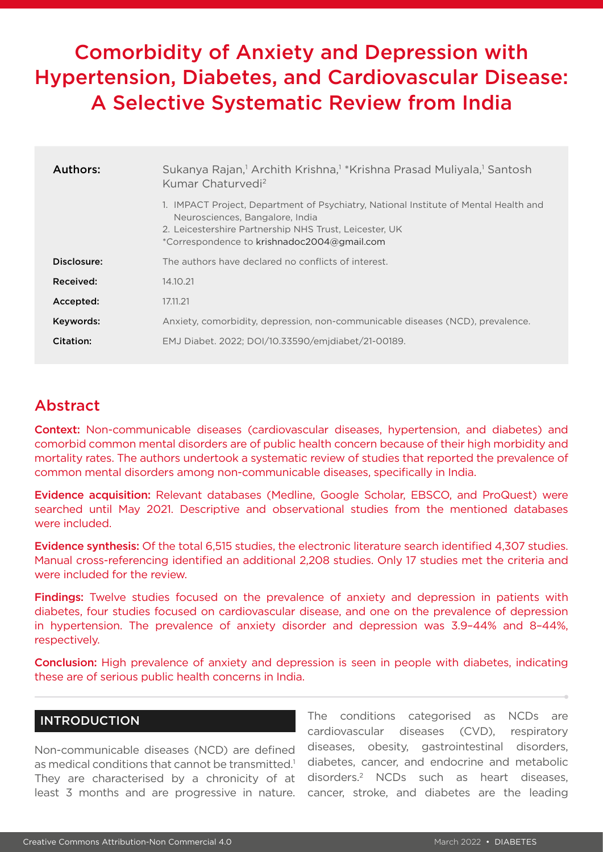# Comorbidity of Anxiety and Depression with Hypertension, Diabetes, and Cardiovascular Disease: A Selective Systematic Review from India

| Authors:    | Sukanya Rajan, <sup>1</sup> Archith Krishna, <sup>1</sup> *Krishna Prasad Muliyala, <sup>1</sup> Santosh<br>Kumar Chaturvedi <sup>2</sup>                                                                                        |  |  |  |
|-------------|----------------------------------------------------------------------------------------------------------------------------------------------------------------------------------------------------------------------------------|--|--|--|
|             | 1. IMPACT Project, Department of Psychiatry, National Institute of Mental Health and<br>Neurosciences, Bangalore, India<br>2. Leicestershire Partnership NHS Trust, Leicester, UK<br>*Correspondence to krishnadoc2004@gmail.com |  |  |  |
| Disclosure: | The authors have declared no conflicts of interest.                                                                                                                                                                              |  |  |  |
| Received:   | 14.10.21                                                                                                                                                                                                                         |  |  |  |
| Accepted:   | 17.11.21                                                                                                                                                                                                                         |  |  |  |
| Keywords:   | Anxiety, comorbidity, depression, non-communicable diseases (NCD), prevalence.                                                                                                                                                   |  |  |  |
| Citation:   | EMJ Diabet. 2022; DOI/10.33590/emjdiabet/21-00189.                                                                                                                                                                               |  |  |  |

# Abstract

Context: Non-communicable diseases (cardiovascular diseases, hypertension, and diabetes) and comorbid common mental disorders are of public health concern because of their high morbidity and mortality rates. The authors undertook a systematic review of studies that reported the prevalence of common mental disorders among non-communicable diseases, specifically in India.

Evidence acquisition: Relevant databases (Medline, Google Scholar, EBSCO, and ProQuest) were searched until May 2021. Descriptive and observational studies from the mentioned databases were included.

Evidence synthesis: Of the total 6,515 studies, the electronic literature search identified 4,307 studies. Manual cross-referencing identified an additional 2,208 studies. Only 17 studies met the criteria and were included for the review.

Findings: Twelve studies focused on the prevalence of anxiety and depression in patients with diabetes, four studies focused on cardiovascular disease, and one on the prevalence of depression in hypertension. The prevalence of anxiety disorder and depression was 3.9–44% and 8–44%, respectively.

Conclusion: High prevalence of anxiety and depression is seen in people with diabetes, indicating these are of serious public health concerns in India.

# INTRODUCTION

Non-communicable diseases (NCD) are defined as medical conditions that cannot be transmitted.<sup>1</sup> They are characterised by a chronicity of at least 3 months and are progressive in nature.

The conditions categorised as NCDs are cardiovascular diseases (CVD), respiratory diseases, obesity, gastrointestinal disorders, diabetes, cancer, and endocrine and metabolic disorders.2 NCDs such as heart diseases, cancer, stroke, and diabetes are the leading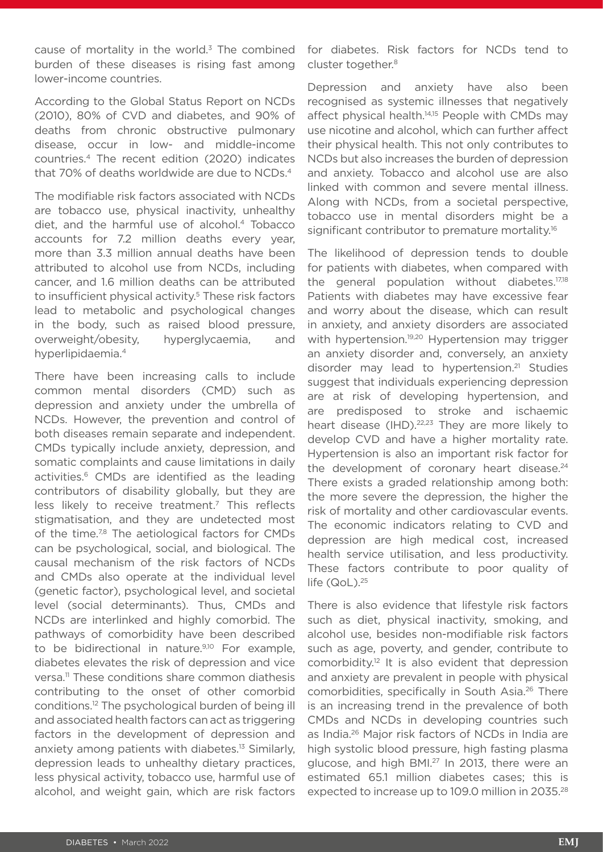cause of mortality in the world. $3$  The combined burden of these diseases is rising fast among lower-income countries.

According to the Global Status Report on NCDs (2010), 80% of CVD and diabetes, and 90% of deaths from chronic obstructive pulmonary disease, occur in low- and middle-income countries.4 The recent edition (2020) indicates that 70% of deaths worldwide are due to NCDs.<sup>4</sup>

The modifiable risk factors associated with NCDs are tobacco use, physical inactivity, unhealthy diet, and the harmful use of alcohol.4 Tobacco accounts for 7.2 million deaths every year, more than 3.3 million annual deaths have been attributed to alcohol use from NCDs, including cancer, and 1.6 million deaths can be attributed to insufficient physical activity.<sup>5</sup> These risk factors lead to metabolic and psychological changes in the body, such as raised blood pressure, overweight/obesity, hyperglycaemia, and hyperlipidaemia.4

There have been increasing calls to include common mental disorders (CMD) such as depression and anxiety under the umbrella of NCDs. However, the prevention and control of both diseases remain separate and independent. CMDs typically include anxiety, depression, and somatic complaints and cause limitations in daily activities.<sup>6</sup> CMDs are identified as the leading contributors of disability globally, but they are less likely to receive treatment.<sup>7</sup> This reflects stigmatisation, and they are undetected most of the time.<sup>7,8</sup> The aetiological factors for CMDs can be psychological, social, and biological. The causal mechanism of the risk factors of NCDs and CMDs also operate at the individual level (genetic factor), psychological level, and societal level (social determinants). Thus, CMDs and NCDs are interlinked and highly comorbid. The pathways of comorbidity have been described to be bidirectional in nature.<sup>9,10</sup> For example, diabetes elevates the risk of depression and vice versa.11 These conditions share common diathesis contributing to the onset of other comorbid conditions.12 The psychological burden of being ill and associated health factors can act as triggering factors in the development of depression and anxiety among patients with diabetes.<sup>13</sup> Similarly, depression leads to unhealthy dietary practices, less physical activity, tobacco use, harmful use of alcohol, and weight gain, which are risk factors

for diabetes. Risk factors for NCDs tend to cluster together.<sup>8</sup>

Depression and anxiety have also been recognised as systemic illnesses that negatively affect physical health.<sup>14,15</sup> People with CMDs may use nicotine and alcohol, which can further affect their physical health. This not only contributes to NCDs but also increases the burden of depression and anxiety. Tobacco and alcohol use are also linked with common and severe mental illness. Along with NCDs, from a societal perspective, tobacco use in mental disorders might be a significant contributor to premature mortality.<sup>16</sup>

The likelihood of depression tends to double for patients with diabetes, when compared with the general population without diabetes.<sup>17,18</sup> Patients with diabetes may have excessive fear and worry about the disease, which can result in anxiety, and anxiety disorders are associated with hypertension.<sup>19,20</sup> Hypertension may trigger an anxiety disorder and, conversely, an anxiety disorder may lead to hypertension.<sup>21</sup> Studies suggest that individuals experiencing depression are at risk of developing hypertension, and are predisposed to stroke and ischaemic heart disease (IHD).<sup>22,23</sup> They are more likely to develop CVD and have a higher mortality rate. Hypertension is also an important risk factor for the development of coronary heart disease.<sup>24</sup> There exists a graded relationship among both: the more severe the depression, the higher the risk of mortality and other cardiovascular events. The economic indicators relating to CVD and depression are high medical cost, increased health service utilisation, and less productivity. These factors contribute to poor quality of life (QoL).<sup>25</sup>

There is also evidence that lifestyle risk factors such as diet, physical inactivity, smoking, and alcohol use, besides non-modifiable risk factors such as age, poverty, and gender, contribute to comorbidity.12 It is also evident that depression and anxiety are prevalent in people with physical comorbidities, specifically in South Asia.<sup>26</sup> There is an increasing trend in the prevalence of both CMDs and NCDs in developing countries such as India.26 Major risk factors of NCDs in India are high systolic blood pressure, high fasting plasma glucose, and high BMI.27 In 2013, there were an estimated 65.1 million diabetes cases; this is expected to increase up to 109.0 million in 2035.<sup>28</sup>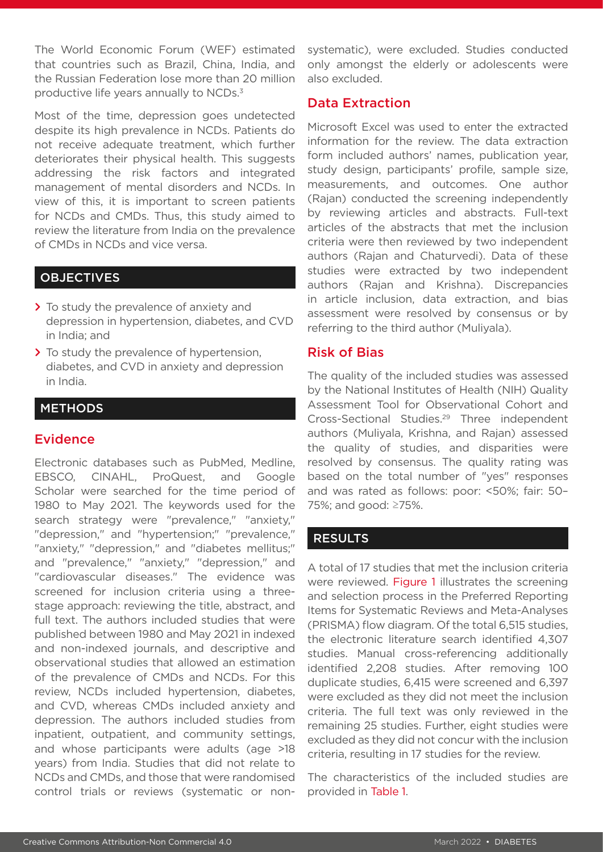The World Economic Forum (WEF) estimated that countries such as Brazil, China, India, and the Russian Federation lose more than 20 million productive life years annually to NCDs.3

Most of the time, depression goes undetected despite its high prevalence in NCDs. Patients do not receive adequate treatment, which further deteriorates their physical health. This suggests addressing the risk factors and integrated management of mental disorders and NCDs. In view of this, it is important to screen patients for NCDs and CMDs. Thus, this study aimed to review the literature from India on the prevalence of CMDs in NCDs and vice versa.

# **OBJECTIVES**

- **>** To study the prevalence of anxiety and depression in hypertension, diabetes, and CVD in India; and
- **>** To study the prevalence of hypertension, diabetes, and CVD in anxiety and depression in India.

# **METHODS**

# Evidence

Electronic databases such as PubMed, Medline, EBSCO, CINAHL, ProQuest, and Google Scholar were searched for the time period of 1980 to May 2021. The keywords used for the search strategy were "prevalence," "anxiety," "depression," and "hypertension;" "prevalence," "anxiety," "depression," and "diabetes mellitus;" and "prevalence," "anxiety," "depression," and "cardiovascular diseases." The evidence was screened for inclusion criteria using a threestage approach: reviewing the title, abstract, and full text. The authors included studies that were published between 1980 and May 2021 in indexed and non-indexed journals, and descriptive and observational studies that allowed an estimation of the prevalence of CMDs and NCDs. For this review, NCDs included hypertension, diabetes, and CVD, whereas CMDs included anxiety and depression. The authors included studies from inpatient, outpatient, and community settings, and whose participants were adults (age >18 years) from India. Studies that did not relate to NCDs and CMDs, and those that were randomised control trials or reviews (systematic or nonsystematic), were excluded. Studies conducted only amongst the elderly or adolescents were also excluded.

# Data Extraction

Microsoft Excel was used to enter the extracted information for the review. The data extraction form included authors' names, publication year, study design, participants' profile, sample size, measurements, and outcomes. One author (Rajan) conducted the screening independently by reviewing articles and abstracts. Full-text articles of the abstracts that met the inclusion criteria were then reviewed by two independent authors (Rajan and Chaturvedi). Data of these studies were extracted by two independent authors (Rajan and Krishna). Discrepancies in article inclusion, data extraction, and bias assessment were resolved by consensus or by referring to the third author (Muliyala).

# Risk of Bias

The quality of the included studies was assessed by the National Institutes of Health (NIH) Quality Assessment Tool for Observational Cohort and Cross-Sectional Studies.29 Three independent authors (Muliyala, Krishna, and Rajan) assessed the quality of studies, and disparities were resolved by consensus. The quality rating was based on the total number of "yes" responses and was rated as follows: poor: <50%; fair: 50– 75%; and good: ≥75%.

# RESULTS

A total of 17 studies that met the inclusion criteria were reviewed. Figure 1 illustrates the screening and selection process in the Preferred Reporting Items for Systematic Reviews and Meta-Analyses (PRISMA) flow diagram. Of the total 6,515 studies, the electronic literature search identified 4,307 studies. Manual cross-referencing additionally identified 2,208 studies. After removing 100 duplicate studies, 6,415 were screened and 6,397 were excluded as they did not meet the inclusion criteria. The full text was only reviewed in the remaining 25 studies. Further, eight studies were excluded as they did not concur with the inclusion criteria, resulting in 17 studies for the review.

The characteristics of the included studies are provided in Table 1.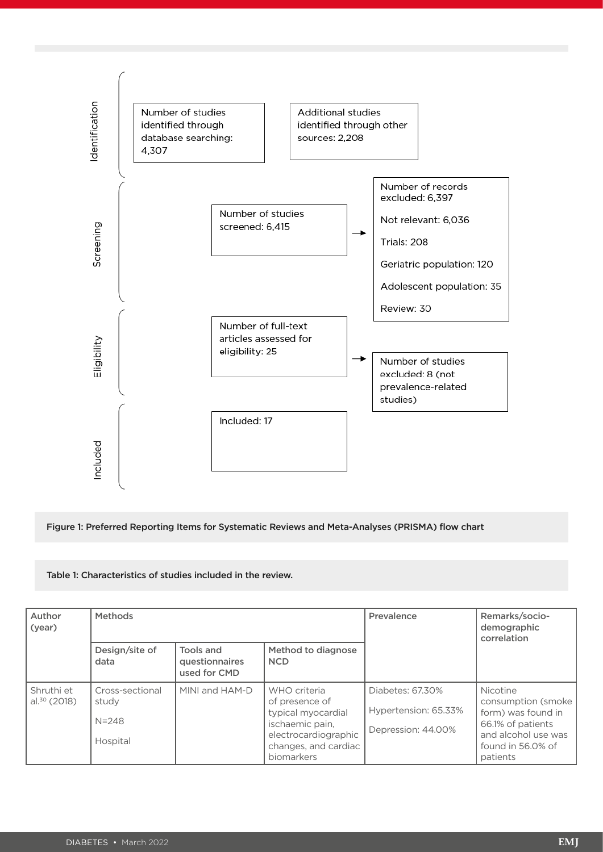

Figure 1: Preferred Reporting Items for Systematic Reviews and Meta-Analyses (PRISMA) flow chart

#### Table 1: Characteristics of studies included in the review.

| Author<br>(year)             | <b>Methods</b>                                    |                                             |                                                                                                                                       | Prevalence                                                     | Remarks/socio-<br>demographic<br>correlation                                                                                       |
|------------------------------|---------------------------------------------------|---------------------------------------------|---------------------------------------------------------------------------------------------------------------------------------------|----------------------------------------------------------------|------------------------------------------------------------------------------------------------------------------------------------|
|                              | Design/site of<br>data                            | Tools and<br>questionnaires<br>used for CMD | Method to diagnose<br><b>NCD</b>                                                                                                      |                                                                |                                                                                                                                    |
| Shruthi et<br>al. $30(2018)$ | Cross-sectional<br>study<br>$N = 248$<br>Hospital | MINI and HAM-D                              | WHO criteria<br>of presence of<br>typical myocardial<br>ischaemic pain,<br>electrocardiographic<br>changes, and cardiac<br>biomarkers | Diabetes: 67.30%<br>Hypertension: 65.33%<br>Depression: 44.00% | Nicotine<br>consumption (smoke)<br>form) was found in<br>66.1% of patients<br>and alcohol use was<br>found in 56.0% of<br>patients |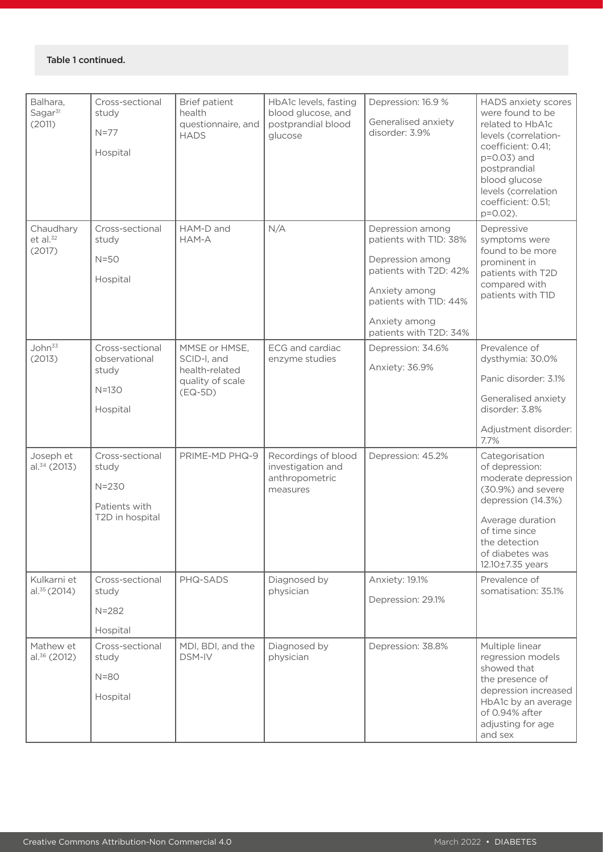#### Table 1 continued.

| Balhara,<br>Sagar <sup>31</sup><br>(2011) | Cross-sectional<br>study<br>$N=77$<br>Hospital                            | <b>Brief patient</b><br>health<br>questionnaire, and<br><b>HADS</b>             | HbA1c levels, fasting<br>blood glucose, and<br>postprandial blood<br>glucose | Depression: 16.9 %<br>Generalised anxiety<br>disorder: 3.9%                                                                                                                    | <b>HADS</b> anxiety scores<br>were found to be<br>related to HbA1c<br>levels (correlation-<br>coefficient: 0.41;<br>p=0.03) and<br>postprandial<br>blood glucose<br>levels (correlation<br>coefficient: 0.51;<br>$p=0.02$ ). |
|-------------------------------------------|---------------------------------------------------------------------------|---------------------------------------------------------------------------------|------------------------------------------------------------------------------|--------------------------------------------------------------------------------------------------------------------------------------------------------------------------------|------------------------------------------------------------------------------------------------------------------------------------------------------------------------------------------------------------------------------|
| Chaudhary<br>$et$ al. $32$<br>(2017)      | Cross-sectional<br>study<br>$N = 50$<br>Hospital                          | HAM-D and<br>HAM-A                                                              | N/A                                                                          | Depression among<br>patients with T1D: 38%<br>Depression among<br>patients with T2D: 42%<br>Anxiety among<br>patients with T1D: 44%<br>Anxiety among<br>patients with T2D: 34% | Depressive<br>symptoms were<br>found to be more<br>prominent in<br>patients with T2D<br>compared with<br>patients with T1D                                                                                                   |
| John <sup>33</sup><br>(2013)              | Cross-sectional<br>observational<br>study<br>$N=130$<br>Hospital          | MMSE or HMSE,<br>SCID-I, and<br>health-related<br>quality of scale<br>$(EQ-5D)$ | ECG and cardiac<br>enzyme studies                                            | Depression: 34.6%<br>Anxiety: 36.9%                                                                                                                                            | Prevalence of<br>dysthymia: 30.0%<br>Panic disorder: 3.1%<br>Generalised anxiety<br>disorder: 3.8%<br>Adjustment disorder:<br>7.7%                                                                                           |
| Joseph et<br>$al.^{34}$ (2013)            | Cross-sectional<br>study<br>$N = 230$<br>Patients with<br>T2D in hospital | PRIME-MD PHQ-9                                                                  | Recordings of blood<br>investigation and<br>anthropometric<br>measures       | Depression: 45.2%                                                                                                                                                              | Categorisation<br>of depression:<br>moderate depression<br>(30.9%) and severe<br>depression (14.3%)<br>Average duration<br>of time since<br>the detection<br>of diabetes was<br>12.10±7.35 years                             |
| Kulkarni et<br>$al.^{35}(2014)$           | Cross-sectional<br>study<br>$N = 282$<br>Hospital                         | PHQ-SADS                                                                        | Diagnosed by<br>physician                                                    | Anxiety: 19.1%<br>Depression: 29.1%                                                                                                                                            | Prevalence of<br>somatisation: 35.1%                                                                                                                                                                                         |
| Mathew et<br>$al.^{36}$ (2012)            | Cross-sectional<br>study<br>$N = 80$<br>Hospital                          | MDI, BDI, and the<br><b>DSM-IV</b>                                              | Diagnosed by<br>physician                                                    | Depression: 38.8%                                                                                                                                                              | Multiple linear<br>regression models<br>showed that<br>the presence of<br>depression increased<br>HbA1c by an average<br>of 0.94% after<br>adjusting for age<br>and sex                                                      |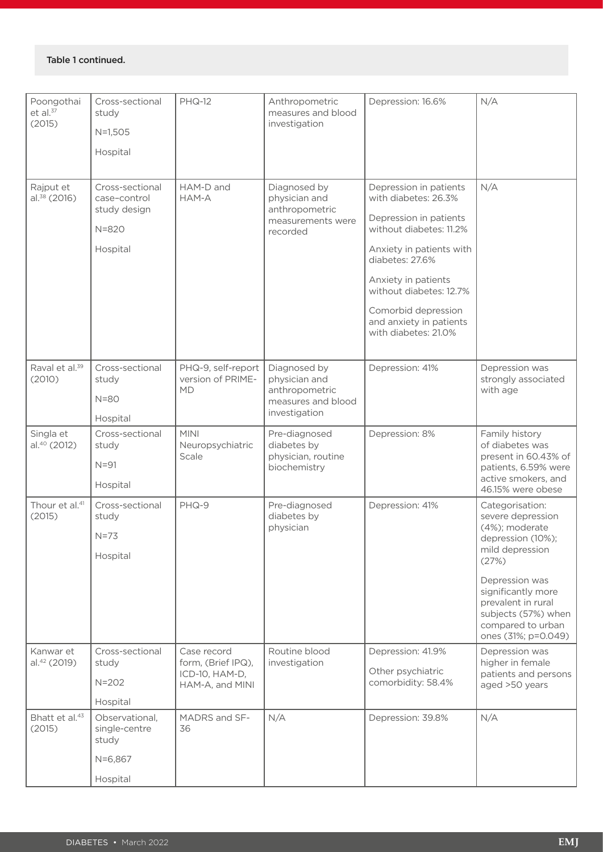#### Table 1 continued.

| Poongothai<br>$et$ al. $37$<br>(2015) | Cross-sectional<br>study<br>$N=1,505$<br>Hospital | <b>PHQ-12</b>                                                          | Anthropometric<br>measures and blood<br>investigation                            | Depression: 16.6%                                                      | N/A                                                                                                                                    |
|---------------------------------------|---------------------------------------------------|------------------------------------------------------------------------|----------------------------------------------------------------------------------|------------------------------------------------------------------------|----------------------------------------------------------------------------------------------------------------------------------------|
|                                       |                                                   |                                                                        |                                                                                  |                                                                        |                                                                                                                                        |
| Rajput et<br>$al.^{38}$ (2016)        | Cross-sectional<br>case-control<br>study design   | HAM-D and<br>HAM-A                                                     | Diagnosed by<br>physician and<br>anthropometric<br>measurements were<br>recorded | Depression in patients<br>with diabetes: 26.3%                         | N/A                                                                                                                                    |
|                                       | $N = 820$                                         |                                                                        |                                                                                  | Depression in patients<br>without diabetes: 11.2%                      |                                                                                                                                        |
|                                       | Hospital                                          |                                                                        |                                                                                  | Anxiety in patients with<br>diabetes: 27.6%                            |                                                                                                                                        |
|                                       |                                                   |                                                                        |                                                                                  | Anxiety in patients<br>without diabetes: 12.7%                         |                                                                                                                                        |
|                                       |                                                   |                                                                        |                                                                                  | Comorbid depression<br>and anxiety in patients<br>with diabetes: 21.0% |                                                                                                                                        |
| Raval et al. <sup>39</sup><br>(2010)  | Cross-sectional<br>study                          | PHQ-9, self-report<br>version of PRIME-                                | Diagnosed by<br>physician and                                                    | Depression: 41%                                                        | Depression was<br>strongly associated                                                                                                  |
|                                       | $N = 80$                                          | <b>MD</b>                                                              | anthropometric<br>measures and blood<br>investigation                            |                                                                        | with age                                                                                                                               |
|                                       | Hospital                                          |                                                                        |                                                                                  |                                                                        |                                                                                                                                        |
| Singla et<br>al. <sup>40</sup> (2012) | Cross-sectional<br>study<br>$N = 91$<br>Hospital  | <b>MINI</b><br>Neuropsychiatric<br>Scale                               | Pre-diagnosed<br>diabetes by<br>physician, routine<br>biochemistry               | Depression: 8%                                                         | Family history<br>of diabetes was<br>present in 60.43% of<br>patients, 6.59% were<br>active smokers, and                               |
| Thour et al. <sup>41</sup><br>(2015)  | Cross-sectional<br>study<br>$N=73$                | PHQ-9                                                                  | Pre-diagnosed<br>diabetes by<br>physician                                        | Depression: 41%                                                        | 46.15% were obese<br>Categorisation:<br>severe depression<br>(4%); moderate<br>depression (10%);<br>mild depression                    |
|                                       | Hospital                                          |                                                                        |                                                                                  |                                                                        | (27%)<br>Depression was<br>significantly more<br>prevalent in rural<br>subjects (57%) when<br>compared to urban<br>ones (31%; p=0.049) |
| Kanwar et<br>al. <sup>42</sup> (2019) | Cross-sectional<br>study<br>$N = 202$<br>Hospital | Case record<br>form, (Brief IPQ),<br>ICD-10, HAM-D,<br>HAM-A, and MINI | Routine blood<br>investigation                                                   | Depression: 41.9%<br>Other psychiatric<br>comorbidity: 58.4%           | Depression was<br>higher in female<br>patients and persons<br>aged >50 years                                                           |
| Bhatt et al. <sup>43</sup><br>(2015)  | Observational,<br>single-centre<br>study          | MADRS and SF-<br>36                                                    | N/A                                                                              | Depression: 39.8%                                                      | N/A                                                                                                                                    |
|                                       | $N=6,867$                                         |                                                                        |                                                                                  |                                                                        |                                                                                                                                        |
|                                       | Hospital                                          |                                                                        |                                                                                  |                                                                        |                                                                                                                                        |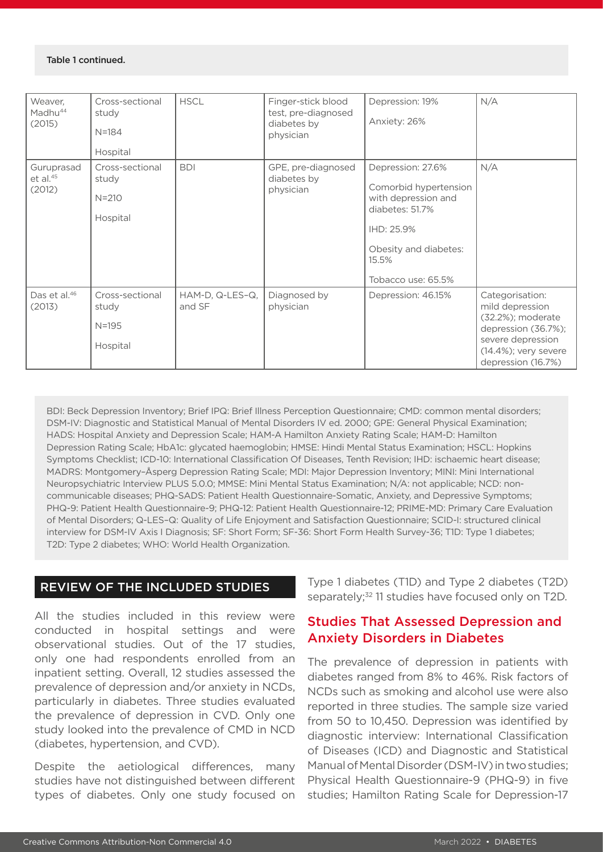#### Table 1 continued.

| Weaver,<br>Madhu <sup>44</sup><br>(2015) | Cross-sectional<br>study<br>$N = 184$<br>Hospital | <b>HSCL</b>               | Finger-stick blood<br>test, pre-diagnosed<br>diabetes by<br>physician | Depression: 19%<br>Anxiety: 26%                                                                                                                            | N/A                                                                                                                                                   |
|------------------------------------------|---------------------------------------------------|---------------------------|-----------------------------------------------------------------------|------------------------------------------------------------------------------------------------------------------------------------------------------------|-------------------------------------------------------------------------------------------------------------------------------------------------------|
| Guruprasad<br>$et$ al. $45$<br>(2012)    | Cross-sectional<br>study<br>$N = 210$<br>Hospital | <b>BDI</b>                | GPE, pre-diagnosed<br>diabetes by<br>physician                        | Depression: 27.6%<br>Comorbid hypertension<br>with depression and<br>diabetes: 51.7%<br>IHD: 25.9%<br>Obesity and diabetes:<br>15.5%<br>Tobacco use: 65.5% | N/A                                                                                                                                                   |
| Das et al. <sup>46</sup><br>(2013)       | Cross-sectional<br>study<br>$N = 195$<br>Hospital | HAM-D, Q-LES-Q,<br>and SF | Diagnosed by<br>physician                                             | Depression: 46.15%                                                                                                                                         | Categorisation:<br>mild depression<br>(32.2%); moderate<br>depression (36.7%);<br>severe depression<br>$(14.4\%)$ ; very severe<br>depression (16.7%) |

BDI: Beck Depression Inventory; Brief IPQ: Brief Illness Perception Questionnaire; CMD: common mental disorders; DSM-IV: Diagnostic and Statistical Manual of Mental Disorders IV ed. 2000; GPE: General Physical Examination; HADS: Hospital Anxiety and Depression Scale; HAM-A Hamilton Anxiety Rating Scale; HAM-D: Hamilton Depression Rating Scale; HbA1c: glycated haemoglobin; HMSE: Hindi Mental Status Examination; HSCL: Hopkins Symptoms Checklist; ICD-10: International Classification Of Diseases, Tenth Revision; IHD: ischaemic heart disease; MADRS: Montgomery–Åsperg Depression Rating Scale; MDI: Major Depression Inventory; MINI: Mini International Neuropsychiatric Interview PLUS 5.0.0; MMSE: Mini Mental Status Examination; N/A: not applicable; NCD: noncommunicable diseases; PHQ-SADS: Patient Health Questionnaire-Somatic, Anxiety, and Depressive Symptoms; PHQ-9: Patient Health Questionnaire-9; PHQ-12: Patient Health Questionnaire-12; PRIME-MD: Primary Care Evaluation of Mental Disorders; Q-LES–Q: Quality of Life Enjoyment and Satisfaction Questionnaire; SCID-I: structured clinical interview for DSM-IV Axis I Diagnosis; SF: Short Form; SF-36: Short Form Health Survey-36; T1D: Type 1 diabetes; T2D: Type 2 diabetes; WHO: World Health Organization.

# REVIEW OF THE INCLUDED STUDIES

All the studies included in this review were conducted in hospital settings and were observational studies. Out of the 17 studies, only one had respondents enrolled from an inpatient setting. Overall, 12 studies assessed the prevalence of depression and/or anxiety in NCDs, particularly in diabetes. Three studies evaluated the prevalence of depression in CVD. Only one study looked into the prevalence of CMD in NCD (diabetes, hypertension, and CVD).

Despite the aetiological differences, many studies have not distinguished between different types of diabetes. Only one study focused on

Type 1 diabetes (T1D) and Type 2 diabetes (T2D) separately;<sup>32</sup> 11 studies have focused only on T2D.

# Studies That Assessed Depression and Anxiety Disorders in Diabetes

The prevalence of depression in patients with diabetes ranged from 8% to 46%. Risk factors of NCDs such as smoking and alcohol use were also reported in three studies. The sample size varied from 50 to 10,450. Depression was identified by diagnostic interview: International Classification of Diseases (ICD) and Diagnostic and Statistical Manual of Mental Disorder (DSM-IV) in two studies; Physical Health Questionnaire-9 (PHQ-9) in five studies; Hamilton Rating Scale for Depression-17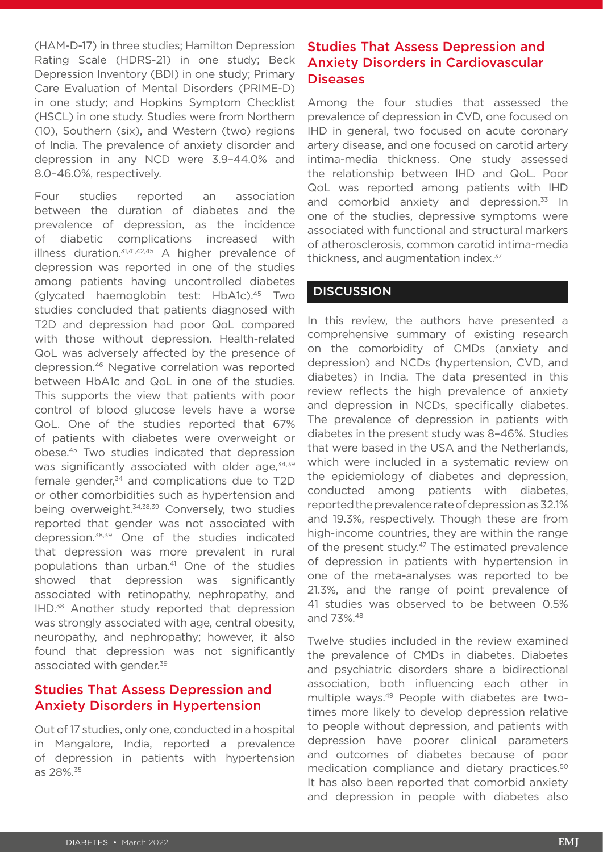(HAM-D-17) in three studies; Hamilton Depression Rating Scale (HDRS-21) in one study; Beck Depression Inventory (BDI) in one study; Primary Care Evaluation of Mental Disorders (PRIME-D) in one study; and Hopkins Symptom Checklist (HSCL) in one study. Studies were from Northern (10), Southern (six), and Western (two) regions of India. The prevalence of anxiety disorder and depression in any NCD were 3.9–44.0% and 8.0–46.0%, respectively.

Four studies reported an association between the duration of diabetes and the prevalence of depression, as the incidence of diabetic complications increased with illness duration.<sup>31,41,42,45</sup> A higher prevalence of depression was reported in one of the studies among patients having uncontrolled diabetes (glycated haemoglobin test: HbA1c).45 Two studies concluded that patients diagnosed with T2D and depression had poor QoL compared with those without depression. Health-related QoL was adversely affected by the presence of depression.46 Negative correlation was reported between HbA1c and QoL in one of the studies. This supports the view that patients with poor control of blood glucose levels have a worse QoL. One of the studies reported that 67% of patients with diabetes were overweight or obese.45 Two studies indicated that depression was significantly associated with older age, 34,39 female gender, $34$  and complications due to T2D or other comorbidities such as hypertension and being overweight.<sup>34,38,39</sup> Conversely, two studies reported that gender was not associated with depression.38,39 One of the studies indicated that depression was more prevalent in rural populations than urban.41 One of the studies showed that depression was significantly associated with retinopathy, nephropathy, and IHD.38 Another study reported that depression was strongly associated with age, central obesity, neuropathy, and nephropathy; however, it also found that depression was not significantly associated with gender.<sup>39</sup>

# Studies That Assess Depression and Anxiety Disorders in Hypertension

Out of 17 studies, only one, conducted in a hospital in Mangalore, India, reported a prevalence of depression in patients with hypertension as 28%.35

# Studies That Assess Depression and Anxiety Disorders in Cardiovascular **Diseases**

Among the four studies that assessed the prevalence of depression in CVD, one focused on IHD in general, two focused on acute coronary artery disease, and one focused on carotid artery intima-media thickness. One study assessed the relationship between IHD and QoL. Poor QoL was reported among patients with IHD and comorbid anxiety and depression.<sup>33</sup> In one of the studies, depressive symptoms were associated with functional and structural markers of atherosclerosis, common carotid intima-media thickness, and augmentation index.<sup>37</sup>

# **DISCUSSION**

In this review, the authors have presented a comprehensive summary of existing research on the comorbidity of CMDs (anxiety and depression) and NCDs (hypertension, CVD, and diabetes) in India. The data presented in this review reflects the high prevalence of anxiety and depression in NCDs, specifically diabetes. The prevalence of depression in patients with diabetes in the present study was 8–46%. Studies that were based in the USA and the Netherlands, which were included in a systematic review on the epidemiology of diabetes and depression, conducted among patients with diabetes, reported the prevalence rate of depression as 32.1% and 19.3%, respectively. Though these are from high-income countries, they are within the range of the present study.<sup>47</sup> The estimated prevalence of depression in patients with hypertension in one of the meta-analyses was reported to be 21.3%, and the range of point prevalence of 41 studies was observed to be between 0.5% and 73%.48

Twelve studies included in the review examined the prevalence of CMDs in diabetes. Diabetes and psychiatric disorders share a bidirectional association, both influencing each other in multiple ways.49 People with diabetes are twotimes more likely to develop depression relative to people without depression, and patients with depression have poorer clinical parameters and outcomes of diabetes because of poor medication compliance and dietary practices.50 It has also been reported that comorbid anxiety and depression in people with diabetes also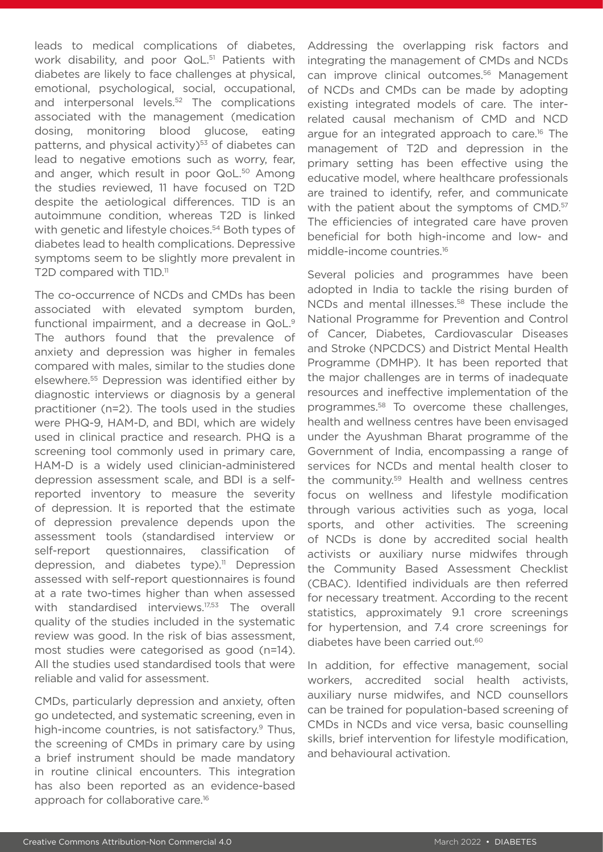leads to medical complications of diabetes, work disability, and poor QoL.<sup>51</sup> Patients with diabetes are likely to face challenges at physical, emotional, psychological, social, occupational, and interpersonal levels.52 The complications associated with the management (medication dosing, monitoring blood glucose, eating patterns, and physical activity)<sup>53</sup> of diabetes can lead to negative emotions such as worry, fear, and anger, which result in poor QoL.<sup>50</sup> Among the studies reviewed, 11 have focused on T2D despite the aetiological differences. T1D is an autoimmune condition, whereas T2D is linked with genetic and lifestyle choices.<sup>54</sup> Both types of diabetes lead to health complications. Depressive symptoms seem to be slightly more prevalent in T2D compared with T1D.<sup>11</sup>

The co-occurrence of NCDs and CMDs has been associated with elevated symptom burden, functional impairment, and a decrease in QoL.<sup>9</sup> The authors found that the prevalence of anxiety and depression was higher in females compared with males, similar to the studies done elsewhere.55 Depression was identified either by diagnostic interviews or diagnosis by a general practitioner (n=2). The tools used in the studies were PHQ-9, HAM-D, and BDI, which are widely used in clinical practice and research. PHQ is a screening tool commonly used in primary care, HAM-D is a widely used clinician-administered depression assessment scale, and BDI is a selfreported inventory to measure the severity of depression. It is reported that the estimate of depression prevalence depends upon the assessment tools (standardised interview or self-report questionnaires, classification of depression, and diabetes type).<sup>11</sup> Depression assessed with self-report questionnaires is found at a rate two-times higher than when assessed with standardised interviews.<sup>17,53</sup> The overall quality of the studies included in the systematic review was good. In the risk of bias assessment, most studies were categorised as good (n=14). All the studies used standardised tools that were reliable and valid for assessment.

CMDs, particularly depression and anxiety, often go undetected, and systematic screening, even in high-income countries, is not satisfactory.<sup>9</sup> Thus, the screening of CMDs in primary care by using a brief instrument should be made mandatory in routine clinical encounters. This integration has also been reported as an evidence-based approach for collaborative care.16

Addressing the overlapping risk factors and integrating the management of CMDs and NCDs can improve clinical outcomes.56 Management of NCDs and CMDs can be made by adopting existing integrated models of care. The interrelated causal mechanism of CMD and NCD argue for an integrated approach to care.<sup>16</sup> The management of T2D and depression in the primary setting has been effective using the educative model, where healthcare professionals are trained to identify, refer, and communicate with the patient about the symptoms of CMD.<sup>57</sup> The efficiencies of integrated care have proven beneficial for both high-income and low- and middle-income countries.16

Several policies and programmes have been adopted in India to tackle the rising burden of NCDs and mental illnesses.<sup>58</sup> These include the National Programme for Prevention and Control of Cancer, Diabetes, Cardiovascular Diseases and Stroke (NPCDCS) and District Mental Health Programme (DMHP). It has been reported that the major challenges are in terms of inadequate resources and ineffective implementation of the programmes.58 To overcome these challenges, health and wellness centres have been envisaged under the Ayushman Bharat programme of the Government of India, encompassing a range of services for NCDs and mental health closer to the community.59 Health and wellness centres focus on wellness and lifestyle modification through various activities such as yoga, local sports, and other activities. The screening of NCDs is done by accredited social health activists or auxiliary nurse midwifes through the Community Based Assessment Checklist (CBAC). Identified individuals are then referred for necessary treatment. According to the recent statistics, approximately 9.1 crore screenings for hypertension, and 7.4 crore screenings for diabetes have been carried out.<sup>60</sup>

In addition, for effective management, social workers, accredited social health activists, auxiliary nurse midwifes, and NCD counsellors can be trained for population-based screening of CMDs in NCDs and vice versa, basic counselling skills, brief intervention for lifestyle modification, and behavioural activation.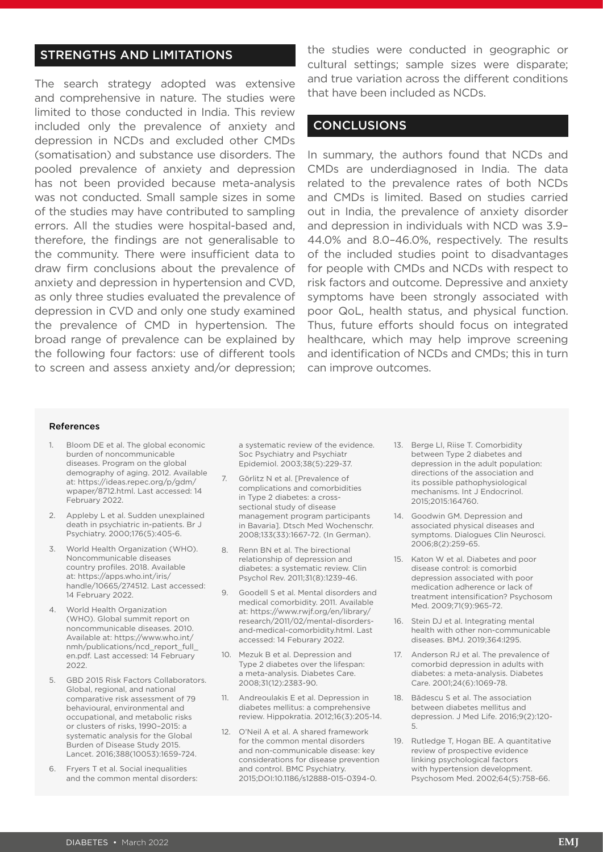# STRENGTHS AND LIMITATIONS

The search strategy adopted was extensive and comprehensive in nature. The studies were limited to those conducted in India. This review included only the prevalence of anxiety and depression in NCDs and excluded other CMDs (somatisation) and substance use disorders. The pooled prevalence of anxiety and depression has not been provided because meta-analysis was not conducted. Small sample sizes in some of the studies may have contributed to sampling errors. All the studies were hospital-based and, therefore, the findings are not generalisable to the community. There were insufficient data to draw firm conclusions about the prevalence of anxiety and depression in hypertension and CVD, as only three studies evaluated the prevalence of depression in CVD and only one study examined the prevalence of CMD in hypertension. The broad range of prevalence can be explained by the following four factors: use of different tools to screen and assess anxiety and/or depression;

the studies were conducted in geographic or cultural settings; sample sizes were disparate; and true variation across the different conditions that have been included as NCDs.

### CONCLUSIONS

In summary, the authors found that NCDs and CMDs are underdiagnosed in India. The data related to the prevalence rates of both NCDs and CMDs is limited. Based on studies carried out in India, the prevalence of anxiety disorder and depression in individuals with NCD was 3.9– 44.0% and 8.0–46.0%, respectively. The results of the included studies point to disadvantages for people with CMDs and NCDs with respect to risk factors and outcome. Depressive and anxiety symptoms have been strongly associated with poor QoL, health status, and physical function. Thus, future efforts should focus on integrated healthcare, which may help improve screening and identification of NCDs and CMDs; this in turn can improve outcomes.

#### References

- 1. Bloom DE et al. The global economic burden of noncommunicable diseases. Program on the global demography of aging. 2012. Available at: https://ideas.repec.org/p/gdm/ wpaper/8712.html. Last accessed: 14 February 2022.
- 2. Appleby L et al. Sudden unexplained death in psychiatric in-patients. Br J Psychiatry. 2000;176(5):405-6.
- 3. World Health Organization (WHO). Noncommunicable diseases country profiles. 2018. Available at: https://apps.who.int/iris/ handle/10665/274512. Last accessed: 14 February 2022.
- 4. World Health Organization (WHO). Global summit report on noncommunicable diseases. 2010. Available at: https://www.who.int/ nmh/publications/ncd\_report\_full\_ en.pdf. Last accessed: 14 February 2022.
- 5. GBD 2015 Risk Factors Collaborators. Global, regional, and national comparative risk assessment of 79 behavioural, environmental and occupational, and metabolic risks or clusters of risks, 1990–2015: a systematic analysis for the Global Burden of Disease Study 2015. Lancet. 2016;388(10053):1659-724.
- 6. Fryers T et al. Social inequalities and the common mental disorders:

a systematic review of the evidence. Soc Psychiatry and Psychiatr Epidemiol. 2003;38(5):229-37.

- 7. Görlitz N et al. [Prevalence of complications and comorbidities in Type 2 diabetes: a crosssectional study of disease management program participants in Bavaria]. Dtsch Med Wochenschr. 2008;133(33):1667-72. (In German).
- 8. Renn BN et al. The birectional relationship of depression and diabetes: a systematic review. Clin Psychol Rev. 2011;31(8):1239-46.
- 9. Goodell S et al. Mental disorders and medical comorbidity. 2011. Available at: https://www.rwjf.org/en/library/ research/2011/02/mental-disordersand-medical-comorbidity.html. Last accessed: 14 Feburary 2022.
- 10. Mezuk B et al. Depression and Type 2 diabetes over the lifespan: a meta-analysis. Diabetes Care. 2008;31(12):2383-90.
- 11. Andreoulakis E et al. Depression in diabetes mellitus: a comprehensive review. Hippokratia. 2012;16(3):205-14.
- 12. O'Neil A et al. A shared framework for the common mental disorders and non-communicable disease: key considerations for disease prevention and control. BMC Psychiatry. 2015;DOI:10.1186/s12888-015-0394-0.
- 13. Berge LI, Riise T. Comorbidity between Type 2 diabetes and depression in the adult population: directions of the association and its possible pathophysiological mechanisms. Int J Endocrinol. 2015;2015:164760.
- 14. Goodwin GM. Depression and associated physical diseases and symptoms. Dialogues Clin Neurosci. 2006;8(2):259-65.
- 15. Katon W et al. Diabetes and poor disease control: is comorbid depression associated with poor medication adherence or lack of treatment intensification? Psychosom Med. 2009;71(9):965-72.
- 16. Stein DJ et al. Integrating mental health with other non-communicable diseases. BMJ. 2019;364:l295.
- 17. Anderson RJ et al. The prevalence of comorbid depression in adults with diabetes: a meta-analysis. Diabetes Care. 2001;24(6):1069-78.
- 18. Bădescu S et al. The association between diabetes mellitus and depression. J Med Life. 2016;9(2):120- 5.
- 19. Rutledge T, Hogan BE. A quantitative review of prospective evidence linking psychological factors with hypertension development. Psychosom Med. 2002;64(5):758-66.